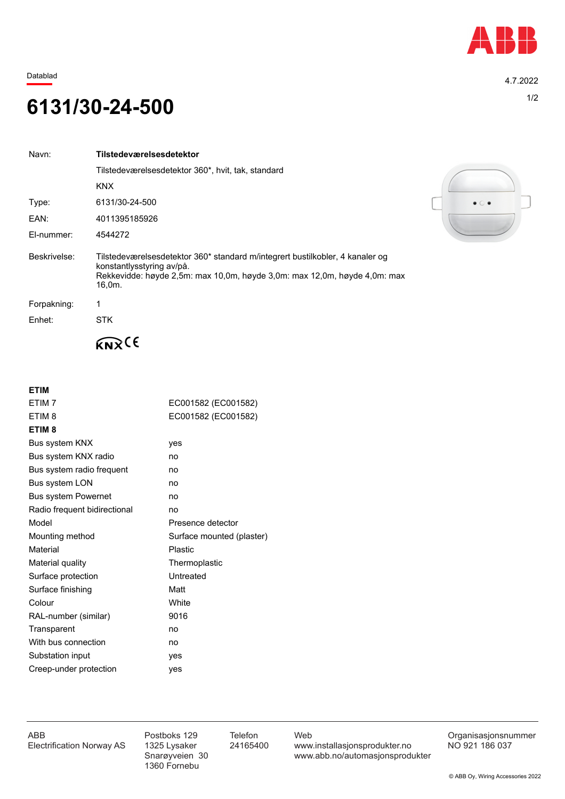

Datablad 4.7.2022

## 1/2 **6131/30-24-500**

| Navn:        | Tilstedeværelsesdetektor                                                                                                                                                                          |
|--------------|---------------------------------------------------------------------------------------------------------------------------------------------------------------------------------------------------|
|              | Tilstedeværelsesdetektor 360*, hvit, tak, standard                                                                                                                                                |
|              | <b>KNX</b>                                                                                                                                                                                        |
| Type:        | 6131/30-24-500                                                                                                                                                                                    |
| EAN:         | 4011395185926                                                                                                                                                                                     |
| El-nummer:   | 4544272                                                                                                                                                                                           |
| Beskrivelse: | Tilstedeværelsesdetektor 360* standard m/integrert bustilkobler, 4 kanaler og<br>konstantlysstyring av/på.<br>Rekkevidde: høyde 2,5m: max 10,0m, høyde 3,0m: max 12,0m, høyde 4,0m: max<br>16.0m. |
| Forpakning:  |                                                                                                                                                                                                   |
| Enhet:       | STK.                                                                                                                                                                                              |
|              |                                                                                                                                                                                                   |

**ETIM**

| ETIM <sub>7</sub>            | EC001582 (EC001582)       |
|------------------------------|---------------------------|
| ETIM <sub>8</sub>            | EC001582 (EC001582)       |
| ETIM <sub>8</sub>            |                           |
| Bus system KNX               | yes                       |
| Bus system KNX radio         | no                        |
| Bus system radio frequent    | no                        |
| Bus system LON               | no                        |
| <b>Bus system Powernet</b>   | no                        |
| Radio frequent bidirectional | no                        |
| Model                        | Presence detector         |
| Mounting method              | Surface mounted (plaster) |
| Material                     | <b>Plastic</b>            |
| Material quality             | Thermoplastic             |
| Surface protection           | Untreated                 |
| Surface finishing            | Matt                      |
| Colour                       | White                     |
| RAL-number (similar)         | 9016                      |
| Transparent                  | no                        |
| With bus connection          | no                        |
| Substation input             | yes                       |
| Creep-under protection       | yes                       |
|                              |                           |



1360 Fornebu

ABB Postboks 129 Telefon Web Postboks 129 Telefon Web Crganisasjonsnummer<br>Electrification Norway AS 1325 Lysaker 24165400 www.installasjonsprodukter.no NO 921 186 037 1325 Lysaker 24165400 www.installasjonsprodukter.no<br>Snarøyveien 30 www.abb.no/automasjonsprodu www.abb.no/automasjonsprodukter